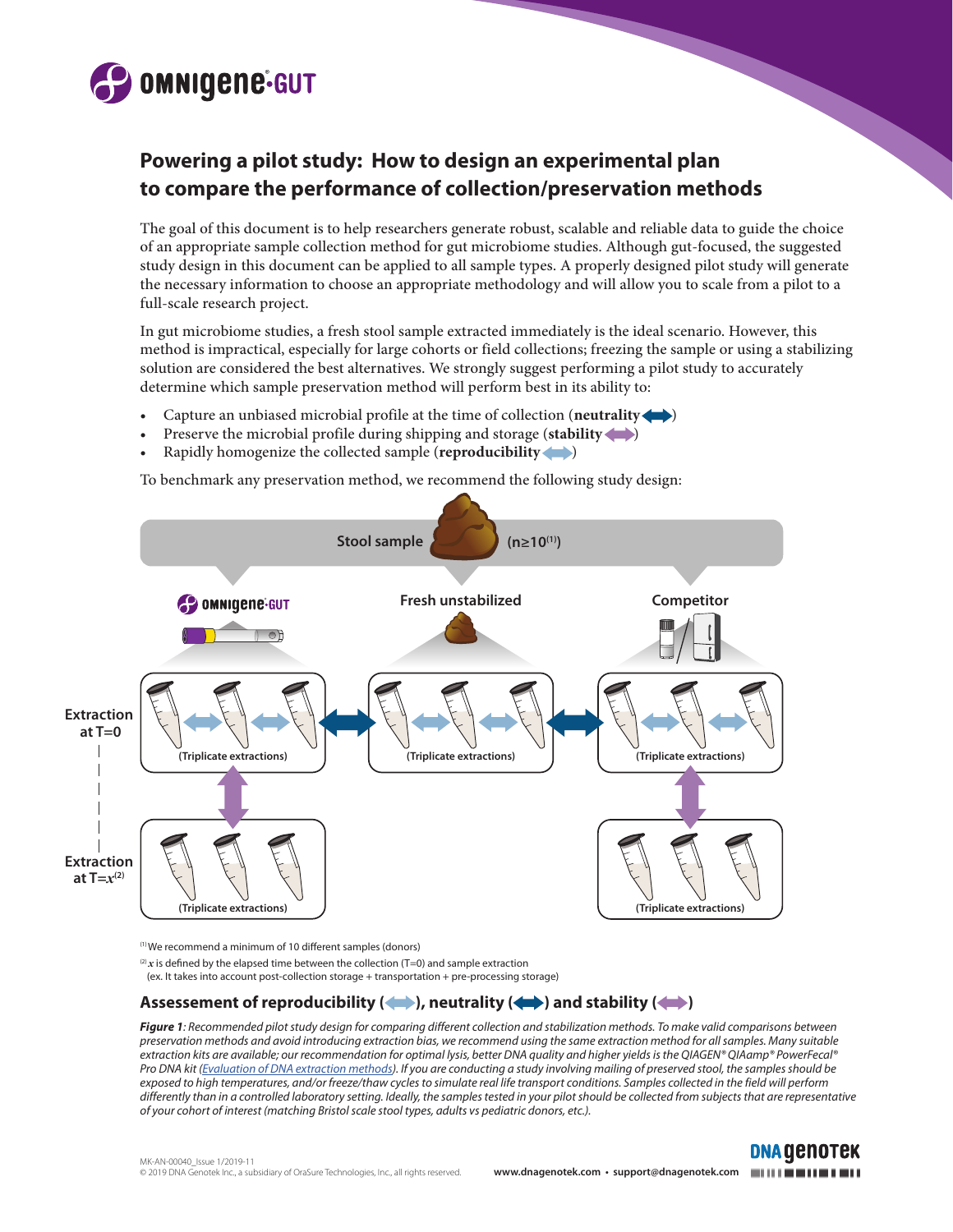

# **Powering a pilot study: How to design an experimental plan to compare the performance of collection/preservation methods**

The goal of this document is to help researchers generate robust, scalable and reliable data to guide the choice of an appropriate sample collection method for gut microbiome studies. Although gut-focused, the suggested study design in this document can be applied to all sample types. A properly designed pilot study will generate the necessary information to choose an appropriate methodology and will allow you to scale from a pilot to a full-scale research project.

In gut microbiome studies, a fresh stool sample extracted immediately is the ideal scenario. However, this method is impractical, especially for large cohorts or field collections; freezing the sample or using a stabilizing solution are considered the best alternatives. We strongly suggest performing a pilot study to accurately determine which sample preservation method will perform best in its ability to:

- Capture an unbiased microbial profile at the time of collection (**neutrality** )
- Preserve the microbial profile during shipping and storage (**stability**
- Rapidly homogenize the collected sample (**reproducibility** )

To benchmark any preservation method, we recommend the following study design:



(1) We recommend a minimum of 10 different samples (donors)

 $^{(2)}x$  is defined by the elapsed time between the collection (T=0) and sample extraction

(ex. It takes into account post-collection storage + transportation + pre-processing storage)

## Assessement of reproducibility ( $\langle \rangle$ ), neutrality ( $\langle \rangle$ ) and stability ( $\langle \rangle$

*Figure 1: Recommended pilot study design for comparing different collection and stabilization methods. To make valid comparisons between preservation methods and avoid introducing extraction bias, we recommend using the same extraction method for all samples. Many suitable extraction kits are available; our recommendation for optimal lysis, better DNA quality and higher yields is the QIAGEN® QIAamp® PowerFecal® Pro DNA kit [\(Evaluation of DNA extraction methods](https://www.dnagenotek.com/us/pdf/MK-AN-00034.pdf)). If you are conducting a study involving mailing of preserved stool, the samples should be exposed to high temperatures, and/or freeze/thaw cycles to simulate real life transport conditions. Samples collected in the field will perform*  differently than in a controlled laboratory setting. Ideally, the samples tested in your pilot should be collected from subjects that are representative *of your cohort of interest (matching Bristol scale stool types, adults vs pediatric donors, etc.).* 



**DNA GENOTEK**